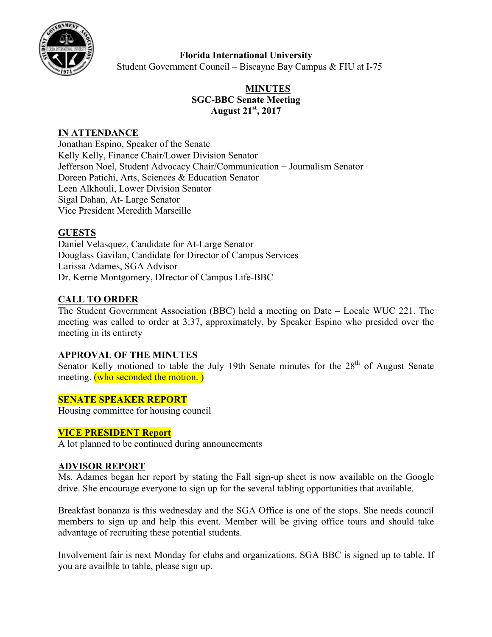

## **Florida International University**

Student Government Council – Biscayne Bay Campus & FIU at I-75

# **MINUTES SGC-BBC Senate Meeting August 21st, 2017**

### **IN ATTENDANCE**

Jonathan Espino, Speaker of the Senate Kelly Kelly, Finance Chair/Lower Division Senator Jefferson Noel, Student Advocacy Chair/Communication + Journalism Senator Doreen Patichi, Arts, Sciences & Education Senator Leen Alkhouli, Lower Division Senator Sigal Dahan, At- Large Senator Vice President Meredith Marseille

### **GUESTS**

Daniel Velasquez, Candidate for At-Large Senator Douglass Gavilan, Candidate for Director of Campus Services Larissa Adames, SGA Advisor Dr. Kerrie Montgomery, DIrector of Campus Life-BBC

### **CALL TO ORDER**

The Student Government Association (BBC) held a meeting on Date – Locale WUC 221. The meeting was called to order at 3:37, approximately, by Speaker Espino who presided over the meeting in its entirety

### **APPROVAL OF THE MINUTES**

Senator Kelly motioned to table the July 19th Senate minutes for the  $28<sup>th</sup>$  of August Senate meeting. **(who seconded the motion.)** 

### **SENATE SPEAKER REPORT**

Housing committee for housing council

### **VICE PRESIDENT Report**

A lot planned to be continued during announcements

### **ADVISOR REPORT**

Ms. Adames began her report by stating the Fall sign-up sheet is now available on the Google drive. She encourage everyone to sign up for the several tabling opportunities that available.

Breakfast bonanza is this wednesday and the SGA Office is one of the stops. She needs council members to sign up and help this event. Member will be giving office tours and should take advantage of recruiting these potential students.

Involvement fair is next Monday for clubs and organizations. SGA BBC is signed up to table. If you are availble to table, please sign up.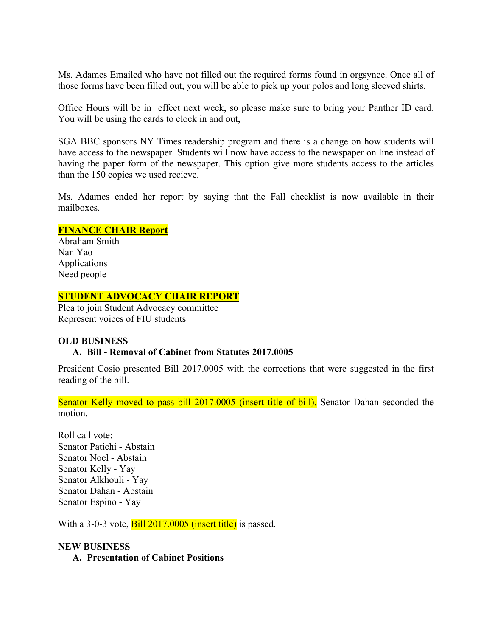Ms. Adames Emailed who have not filled out the required forms found in orgsynce. Once all of those forms have been filled out, you will be able to pick up your polos and long sleeved shirts.

Office Hours will be in effect next week, so please make sure to bring your Panther ID card. You will be using the cards to clock in and out,

SGA BBC sponsors NY Times readership program and there is a change on how students will have access to the newspaper. Students will now have access to the newspaper on line instead of having the paper form of the newspaper. This option give more students access to the articles than the 150 copies we used recieve.

Ms. Adames ended her report by saying that the Fall checklist is now available in their mailboxes.

### **FINANCE CHAIR Report**

Abraham Smith Nan Yao Applications Need people

### **STUDENT ADVOCACY CHAIR REPORT**

Plea to join Student Advocacy committee Represent voices of FIU students

### **OLD BUSINESS**

### **A. Bill - Removal of Cabinet from Statutes 2017.0005**

President Cosio presented Bill 2017.0005 with the corrections that were suggested in the first reading of the bill.

Senator Kelly moved to pass bill 2017.0005 (insert title of bill). Senator Dahan seconded the motion.

Roll call vote: Senator Patichi - Abstain Senator Noel - Abstain Senator Kelly - Yay Senator Alkhouli - Yay Senator Dahan - Abstain Senator Espino - Yay

With a 3-0-3 vote, **Bill 2017.0005** (insert title) is passed.

### **NEW BUSINESS**

**A. Presentation of Cabinet Positions**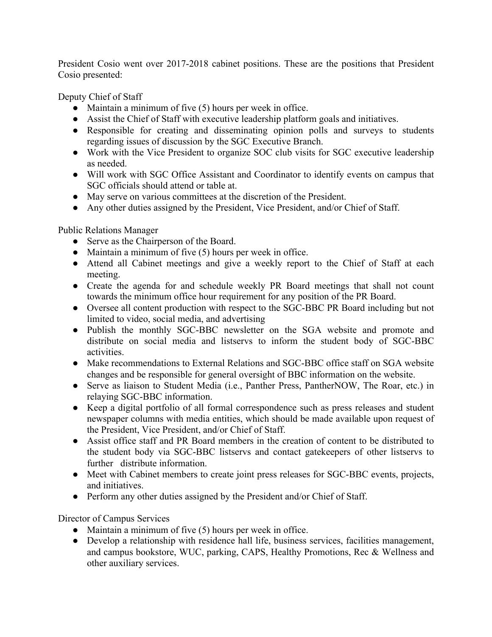President Cosio went over 2017-2018 cabinet positions. These are the positions that President Cosio presented:

Deputy Chief of Staff

- $\bullet$  Maintain a minimum of five (5) hours per week in office.
- Assist the Chief of Staff with executive leadership platform goals and initiatives.
- Responsible for creating and disseminating opinion polls and surveys to students regarding issues of discussion by the SGC Executive Branch.
- Work with the Vice President to organize SOC club visits for SGC executive leadership as needed.
- Will work with SGC Office Assistant and Coordinator to identify events on campus that SGC officials should attend or table at.
- May serve on various committees at the discretion of the President.
- Any other duties assigned by the President, Vice President, and/or Chief of Staff.

Public Relations Manager

- Serve as the Chairperson of the Board.
- $\bullet$  Maintain a minimum of five (5) hours per week in office.
- Attend all Cabinet meetings and give a weekly report to the Chief of Staff at each meeting.
- Create the agenda for and schedule weekly PR Board meetings that shall not count towards the minimum office hour requirement for any position of the PR Board.
- Oversee all content production with respect to the SGC-BBC PR Board including but not limited to video, social media, and advertising
- Publish the monthly SGC-BBC newsletter on the SGA website and promote and distribute on social media and listservs to inform the student body of SGC-BBC activities.
- Make recommendations to External Relations and SGC-BBC office staff on SGA website changes and be responsible for general oversight of BBC information on the website.
- Serve as liaison to Student Media (i.e., Panther Press, PantherNOW, The Roar, etc.) in relaying SGC-BBC information.
- Keep a digital portfolio of all formal correspondence such as press releases and student newspaper columns with media entities, which should be made available upon request of the President, Vice President, and/or Chief of Staff.
- Assist office staff and PR Board members in the creation of content to be distributed to the student body via SGC-BBC listservs and contact gatekeepers of other listservs to further distribute information.
- Meet with Cabinet members to create joint press releases for SGC-BBC events, projects, and initiatives.
- Perform any other duties assigned by the President and/or Chief of Staff.

Director of Campus Services

- $\bullet$  Maintain a minimum of five (5) hours per week in office.
- Develop a relationship with residence hall life, business services, facilities management, and campus bookstore, WUC, parking, CAPS, Healthy Promotions, Rec & Wellness and other auxiliary services.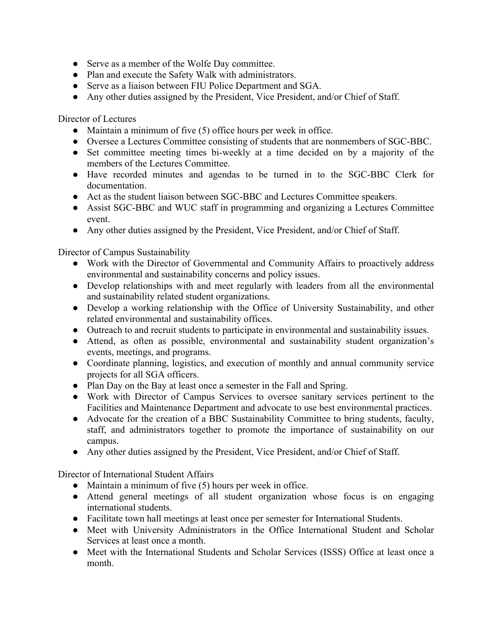- Serve as a member of the Wolfe Day committee.
- Plan and execute the Safety Walk with administrators.
- Serve as a liaison between FIU Police Department and SGA.
- Any other duties assigned by the President, Vice President, and/or Chief of Staff.

Director of Lectures

- Maintain a minimum of five (5) office hours per week in office.
- Oversee a Lectures Committee consisting of students that are nonmembers of SGC-BBC.
- Set committee meeting times bi-weekly at a time decided on by a majority of the members of the Lectures Committee.
- Have recorded minutes and agendas to be turned in to the SGC-BBC Clerk for documentation.
- Act as the student liaison between SGC-BBC and Lectures Committee speakers.
- Assist SGC-BBC and WUC staff in programming and organizing a Lectures Committee event.
- Any other duties assigned by the President, Vice President, and/or Chief of Staff.

Director of Campus Sustainability

- Work with the Director of Governmental and Community Affairs to proactively address environmental and sustainability concerns and policy issues.
- Develop relationships with and meet regularly with leaders from all the environmental and sustainability related student organizations.
- Develop a working relationship with the Office of University Sustainability, and other related environmental and sustainability offices.
- Outreach to and recruit students to participate in environmental and sustainability issues.
- Attend, as often as possible, environmental and sustainability student organization's events, meetings, and programs.
- Coordinate planning, logistics, and execution of monthly and annual community service projects for all SGA officers.
- Plan Day on the Bay at least once a semester in the Fall and Spring.
- Work with Director of Campus Services to oversee sanitary services pertinent to the Facilities and Maintenance Department and advocate to use best environmental practices.
- Advocate for the creation of a BBC Sustainability Committee to bring students, faculty, staff, and administrators together to promote the importance of sustainability on our campus.
- Any other duties assigned by the President, Vice President, and/or Chief of Staff.

Director of International Student Affairs

- Maintain a minimum of five (5) hours per week in office.
- Attend general meetings of all student organization whose focus is on engaging international students.
- Facilitate town hall meetings at least once per semester for International Students.
- Meet with University Administrators in the Office International Student and Scholar Services at least once a month.
- Meet with the International Students and Scholar Services (ISSS) Office at least once a month.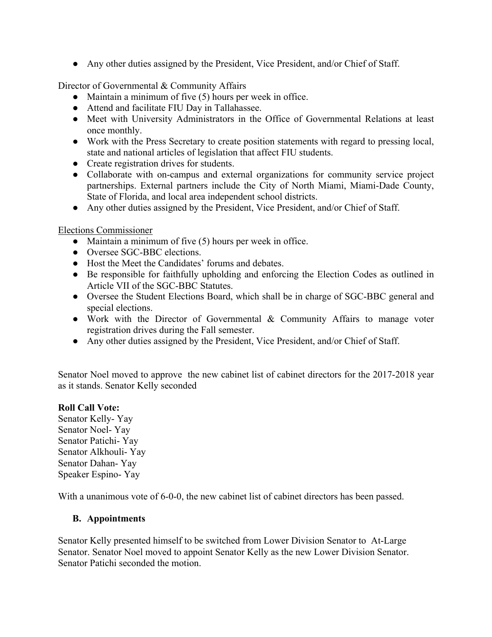● Any other duties assigned by the President, Vice President, and/or Chief of Staff.

Director of Governmental & Community Affairs

- Maintain a minimum of five (5) hours per week in office.
- Attend and facilitate FIU Day in Tallahassee.
- Meet with University Administrators in the Office of Governmental Relations at least once monthly.
- Work with the Press Secretary to create position statements with regard to pressing local, state and national articles of legislation that affect FIU students.
- Create registration drives for students.
- Collaborate with on-campus and external organizations for community service project partnerships. External partners include the City of North Miami, Miami-Dade County, State of Florida, and local area independent school districts.
- Any other duties assigned by the President, Vice President, and/or Chief of Staff.

Elections Commissioner

- Maintain a minimum of five (5) hours per week in office.
- Oversee SGC-BBC elections.
- Host the Meet the Candidates' forums and debates.
- Be responsible for faithfully upholding and enforcing the Election Codes as outlined in Article VII of the SGC-BBC Statutes.
- Oversee the Student Elections Board, which shall be in charge of SGC-BBC general and special elections.
- Work with the Director of Governmental & Community Affairs to manage voter registration drives during the Fall semester.
- Any other duties assigned by the President, Vice President, and/or Chief of Staff.

Senator Noel moved to approve the new cabinet list of cabinet directors for the 2017-2018 year as it stands. Senator Kelly seconded

## **Roll Call Vote:**

Senator Kelly- Yay Senator Noel- Yay Senator Patichi- Yay Senator Alkhouli- Yay Senator Dahan- Yay Speaker Espino- Yay

With a unanimous vote of 6-0-0, the new cabinet list of cabinet directors has been passed.

## **B. Appointments**

Senator Kelly presented himself to be switched from Lower Division Senator to At-Large Senator. Senator Noel moved to appoint Senator Kelly as the new Lower Division Senator. Senator Patichi seconded the motion.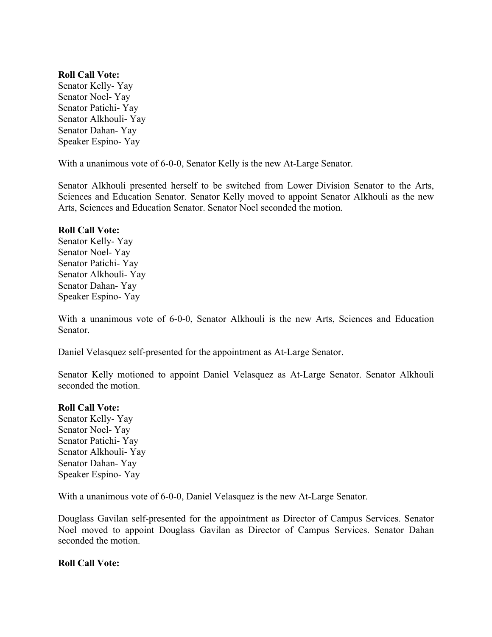#### **Roll Call Vote:**

Senator Kelly- Yay Senator Noel- Yay Senator Patichi- Yay Senator Alkhouli- Yay Senator Dahan- Yay Speaker Espino- Yay

With a unanimous vote of 6-0-0, Senator Kelly is the new At-Large Senator.

Senator Alkhouli presented herself to be switched from Lower Division Senator to the Arts, Sciences and Education Senator. Senator Kelly moved to appoint Senator Alkhouli as the new Arts, Sciences and Education Senator. Senator Noel seconded the motion.

#### **Roll Call Vote:**

Senator Kelly- Yay Senator Noel- Yay Senator Patichi- Yay Senator Alkhouli- Yay Senator Dahan- Yay Speaker Espino- Yay

With a unanimous vote of 6-0-0, Senator Alkhouli is the new Arts, Sciences and Education Senator.

Daniel Velasquez self-presented for the appointment as At-Large Senator.

Senator Kelly motioned to appoint Daniel Velasquez as At-Large Senator. Senator Alkhouli seconded the motion.

#### **Roll Call Vote:**

Senator Kelly- Yay Senator Noel- Yay Senator Patichi- Yay Senator Alkhouli- Yay Senator Dahan- Yay Speaker Espino- Yay

With a unanimous vote of 6-0-0, Daniel Velasquez is the new At-Large Senator.

Douglass Gavilan self-presented for the appointment as Director of Campus Services. Senator Noel moved to appoint Douglass Gavilan as Director of Campus Services. Senator Dahan seconded the motion.

### **Roll Call Vote:**